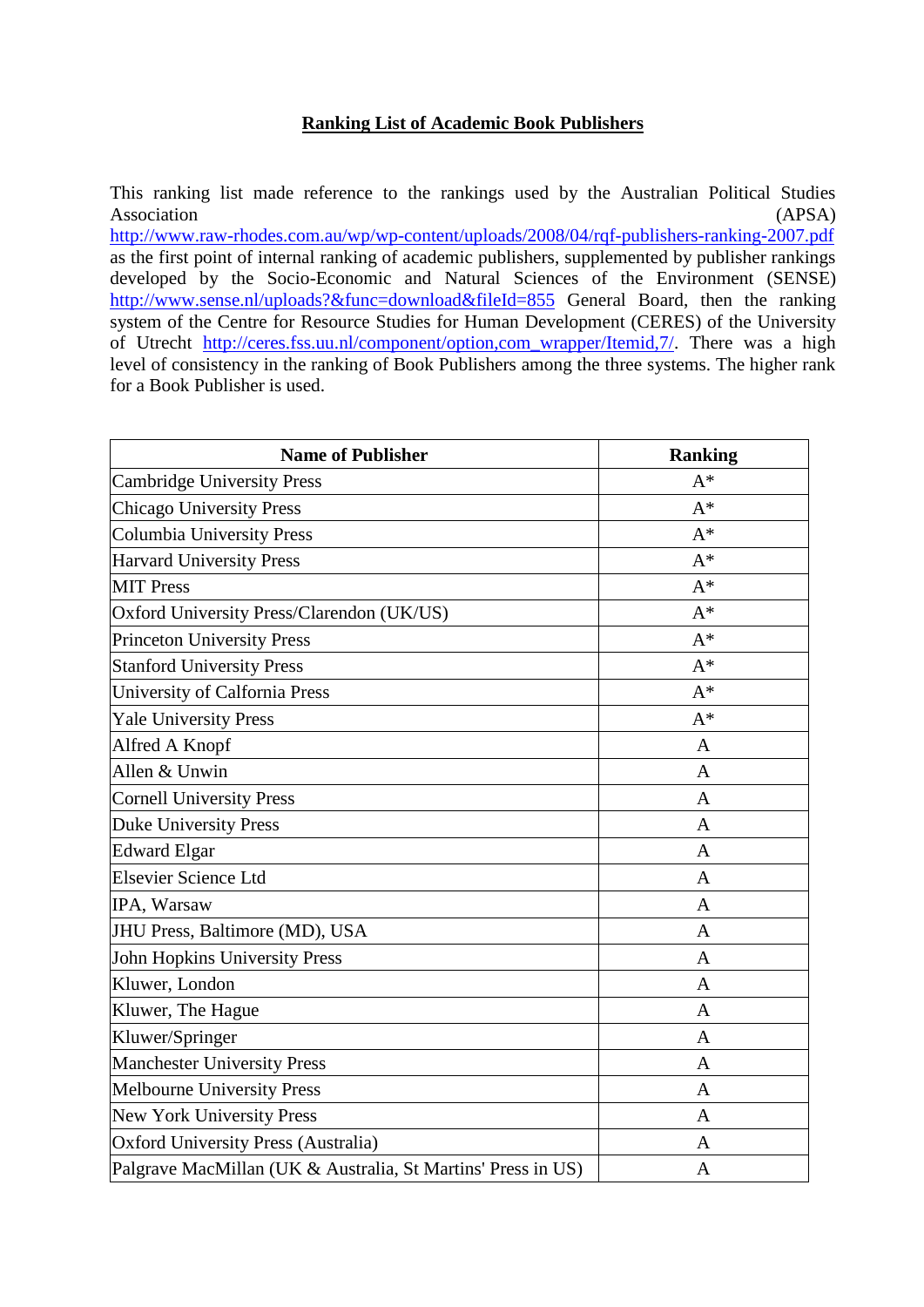## **Ranking List of Academic Book Publishers**

This ranking list made reference to the rankings used by the Australian Political Studies Association (APSA)

<http://www.raw-rhodes.com.au/wp/wp-content/uploads/2008/04/rqf-publishers-ranking-2007.pdf> as the first point of internal ranking of academic publishers, supplemented by publisher rankings developed by the Socio-Economic and Natural Sciences of the Environment (SENSE) <http://www.sense.nl/uploads?&func=download&fileId=855> General Board, then the ranking system of the Centre for Resource Studies for Human Development (CERES) of the University of Utrecht [http://ceres.fss.uu.nl/component/option,com\\_wrapper/Itemid,7/.](http://ceres.fss.uu.nl/component/option,com_wrapper/Itemid,7/) There was a high level of consistency in the ranking of Book Publishers among the three systems. The higher rank for a Book Publisher is used.

| <b>Name of Publisher</b>                                     | <b>Ranking</b> |
|--------------------------------------------------------------|----------------|
| <b>Cambridge University Press</b>                            | $A^*$          |
| <b>Chicago University Press</b>                              | $A^*$          |
| <b>Columbia University Press</b>                             | $A^*$          |
| <b>Harvard University Press</b>                              | $A^*$          |
| <b>MIT Press</b>                                             | $A^*$          |
| Oxford University Press/Clarendon (UK/US)                    | $A^*$          |
| <b>Princeton University Press</b>                            | $A^*$          |
| <b>Stanford University Press</b>                             | $A^*$          |
| University of Calfornia Press                                | $A^*$          |
| <b>Yale University Press</b>                                 | $A^*$          |
| Alfred A Knopf                                               | $\mathbf{A}$   |
| Allen & Unwin                                                | A              |
| <b>Cornell University Press</b>                              | $\mathbf{A}$   |
| <b>Duke University Press</b>                                 | A              |
| <b>Edward Elgar</b>                                          | A              |
| Elsevier Science Ltd                                         | $\mathbf{A}$   |
| IPA, Warsaw                                                  | A              |
| JHU Press, Baltimore (MD), USA                               | $\mathbf{A}$   |
| John Hopkins University Press                                | $\mathbf{A}$   |
| Kluwer, London                                               | A              |
| Kluwer, The Hague                                            | $\mathbf{A}$   |
| Kluwer/Springer                                              | $\mathbf{A}$   |
| <b>Manchester University Press</b>                           | A              |
| <b>Melbourne University Press</b>                            | $\mathbf{A}$   |
| New York University Press                                    | $\mathbf{A}$   |
| <b>Oxford University Press (Australia)</b>                   | A              |
| Palgrave MacMillan (UK & Australia, St Martins' Press in US) | A              |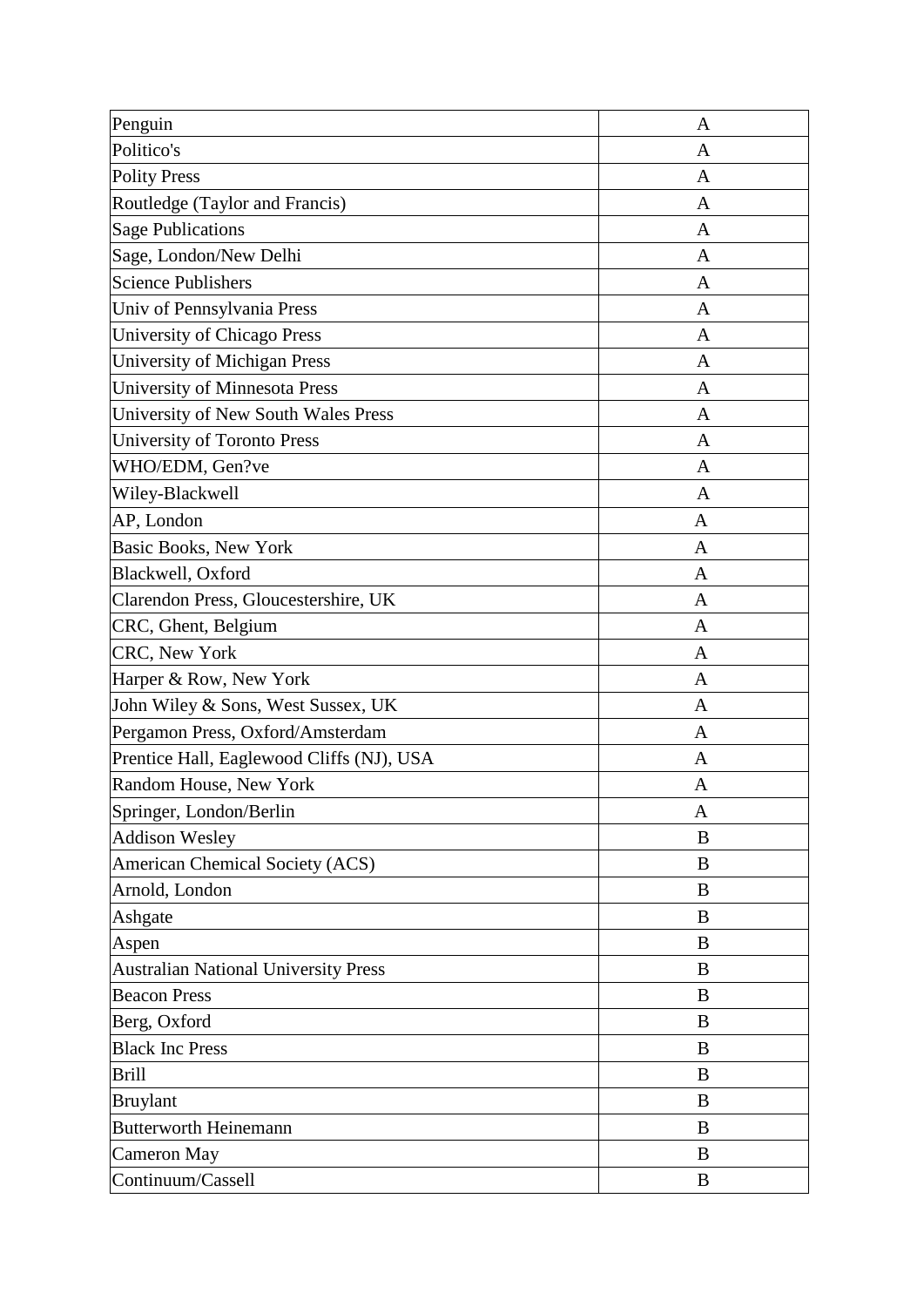| Penguin                                     | A            |
|---------------------------------------------|--------------|
| Politico's                                  | A            |
| <b>Polity Press</b>                         | A            |
| Routledge (Taylor and Francis)              | A            |
| <b>Sage Publications</b>                    | A            |
| Sage, London/New Delhi                      | A            |
| <b>Science Publishers</b>                   | A            |
| Univ of Pennsylvania Press                  | A            |
| University of Chicago Press                 | A            |
| University of Michigan Press                | A            |
| University of Minnesota Press               | A            |
| University of New South Wales Press         | A            |
| University of Toronto Press                 | A            |
| WHO/EDM, Gen?ve                             | A            |
| Wiley-Blackwell                             | A            |
| AP, London                                  | A            |
| <b>Basic Books, New York</b>                | A            |
| Blackwell, Oxford                           | A            |
| Clarendon Press, Gloucestershire, UK        | A            |
| CRC, Ghent, Belgium                         | A            |
| CRC, New York                               | A            |
| Harper & Row, New York                      | A            |
| John Wiley & Sons, West Sussex, UK          | $\mathbf{A}$ |
| Pergamon Press, Oxford/Amsterdam            | A            |
| Prentice Hall, Eaglewood Cliffs (NJ), USA   | A            |
| Random House, New York                      | A            |
| Springer, London/Berlin                     | A            |
| <b>Addison Wesley</b>                       | B            |
| <b>American Chemical Society (ACS)</b>      | $\bf{B}$     |
| Arnold, London                              | B            |
| Ashgate                                     | B            |
| Aspen                                       | $\bf{B}$     |
| <b>Australian National University Press</b> | B            |
| <b>Beacon Press</b>                         | B            |
| Berg, Oxford                                | B            |
| <b>Black Inc Press</b>                      | B            |
| <b>Brill</b>                                | B            |
| <b>Bruylant</b>                             | B            |
| <b>Butterworth Heinemann</b>                | B            |
| Cameron May                                 | B            |
| Continuum/Cassell                           | B            |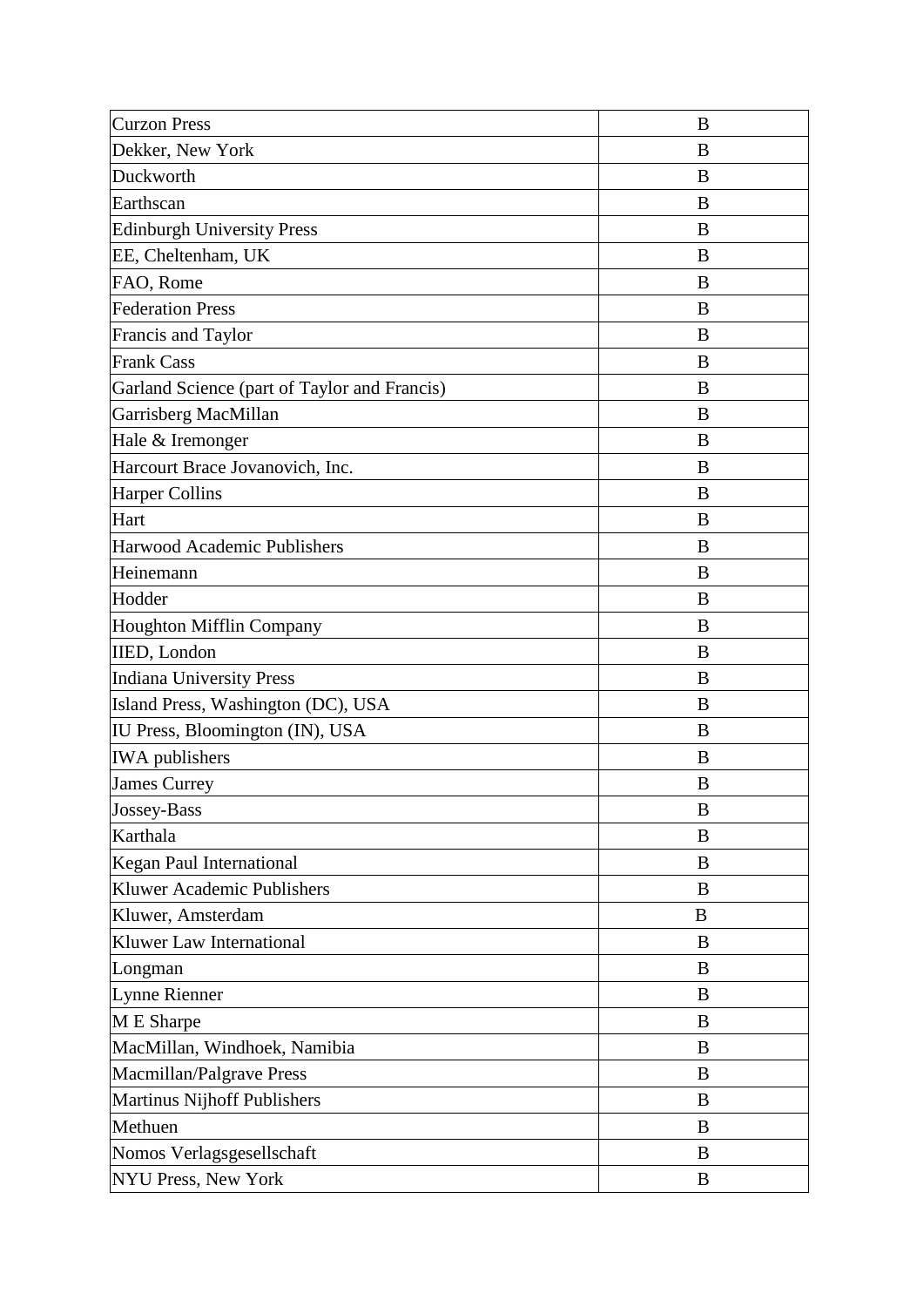| <b>Curzon Press</b>                          | B        |
|----------------------------------------------|----------|
| Dekker, New York                             | B        |
| Duckworth                                    | B        |
| Earthscan                                    | B        |
| <b>Edinburgh University Press</b>            | B        |
| EE, Cheltenham, UK                           | B        |
| FAO, Rome                                    | B        |
| <b>Federation Press</b>                      | B        |
| Francis and Taylor                           | B        |
| <b>Frank Cass</b>                            | B        |
| Garland Science (part of Taylor and Francis) | B        |
| Garrisberg MacMillan                         | B        |
| Hale & Iremonger                             | B        |
| Harcourt Brace Jovanovich, Inc.              | B        |
| <b>Harper Collins</b>                        | B        |
| Hart                                         | B        |
| Harwood Academic Publishers                  | B        |
| Heinemann                                    | B        |
| Hodder                                       | B        |
| Houghton Mifflin Company                     | B        |
| IIED, London                                 | B        |
| <b>Indiana University Press</b>              | B        |
| Island Press, Washington (DC), USA           | B        |
| IU Press, Bloomington (IN), USA              | B        |
| <b>IWA</b> publishers                        | B        |
| <b>James Currey</b>                          | B        |
| Jossey-Bass                                  | B        |
| Karthala                                     | B        |
| Kegan Paul International                     | $\bf{B}$ |
| Kluwer Academic Publishers                   | B        |
| Kluwer, Amsterdam                            | B        |
| Kluwer Law International                     | B        |
| Longman                                      | B        |
| Lynne Rienner                                | $\bf{B}$ |
| M E Sharpe                                   | B        |
| MacMillan, Windhoek, Namibia                 | $\bf{B}$ |
| Macmillan/Palgrave Press                     | B        |
| Martinus Nijhoff Publishers                  | B        |
| Methuen                                      | $\bf{B}$ |
| Nomos Verlagsgesellschaft                    | B        |
| NYU Press, New York                          | B        |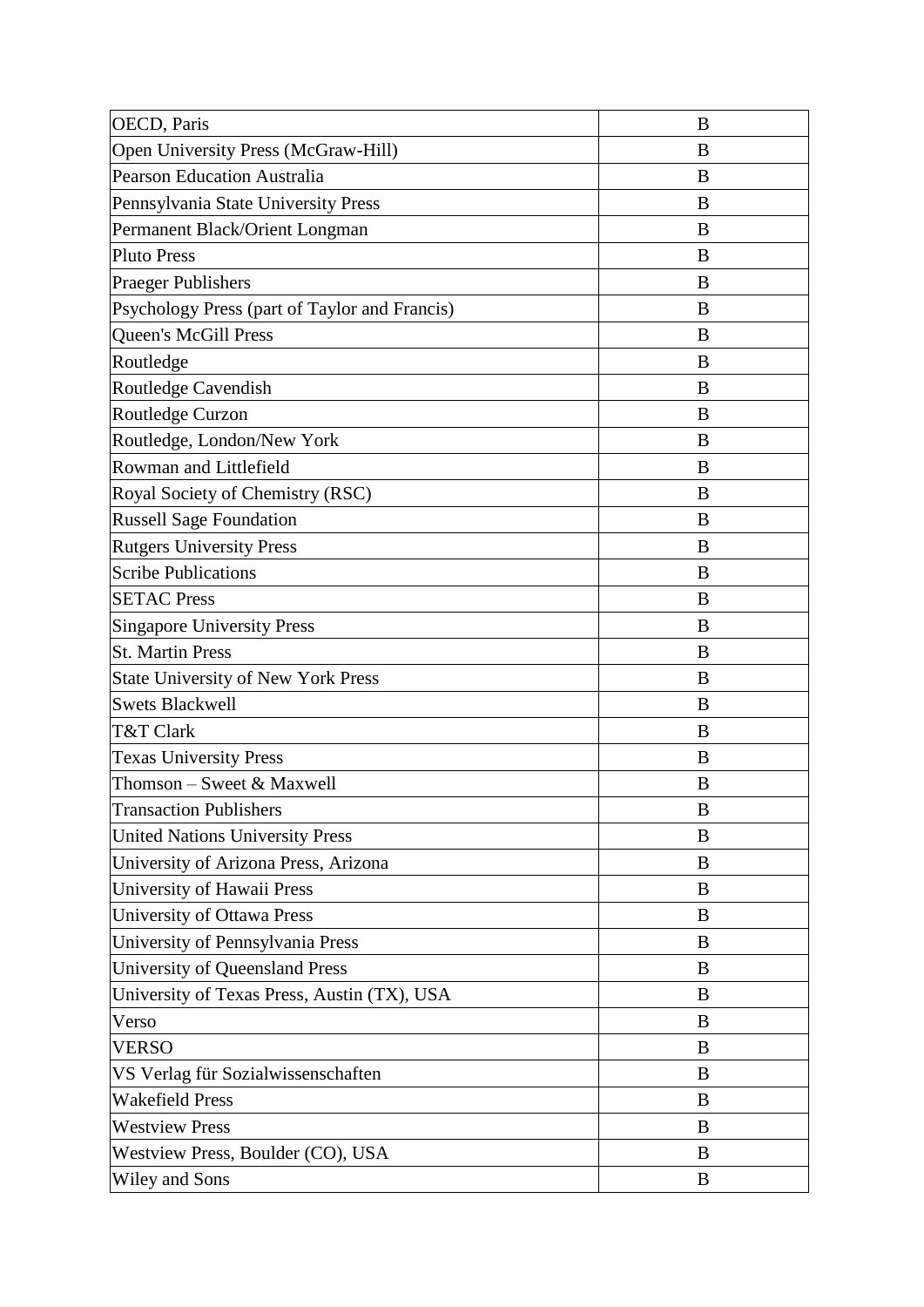| OECD, Paris                                   | B        |
|-----------------------------------------------|----------|
| Open University Press (McGraw-Hill)           | B        |
| <b>Pearson Education Australia</b>            | B        |
| Pennsylvania State University Press           | B        |
| Permanent Black/Orient Longman                | B        |
| <b>Pluto Press</b>                            | B        |
| <b>Praeger Publishers</b>                     | B        |
| Psychology Press (part of Taylor and Francis) | B        |
| <b>Queen's McGill Press</b>                   | $\bf{B}$ |
| Routledge                                     | B        |
| Routledge Cavendish                           | B        |
| Routledge Curzon                              | B        |
| Routledge, London/New York                    | B        |
| Rowman and Littlefield                        | B        |
| Royal Society of Chemistry (RSC)              | B        |
| <b>Russell Sage Foundation</b>                | B        |
| <b>Rutgers University Press</b>               | B        |
| <b>Scribe Publications</b>                    | B        |
| <b>SETAC Press</b>                            | B        |
| <b>Singapore University Press</b>             | B        |
| <b>St. Martin Press</b>                       | $\bf{B}$ |
| <b>State University of New York Press</b>     | B        |
| <b>Swets Blackwell</b>                        | B        |
| T&T Clark                                     | B        |
| <b>Texas University Press</b>                 | B        |
| Thomson - Sweet & Maxwell                     | B        |
| <b>Transaction Publishers</b>                 | B        |
| <b>United Nations University Press</b>        | B        |
| University of Arizona Press, Arizona          | B        |
| University of Hawaii Press                    | B        |
| University of Ottawa Press                    | B        |
| University of Pennsylvania Press              | B        |
| University of Queensland Press                | B        |
| University of Texas Press, Austin (TX), USA   | B        |
| Verso                                         | B        |
| <b>VERSO</b>                                  | $\bf{B}$ |
| VS Verlag für Sozialwissenschaften            | $\bf{B}$ |
| <b>Wakefield Press</b>                        | B        |
| <b>Westview Press</b>                         | B        |
| Westview Press, Boulder (CO), USA             | B        |
| Wiley and Sons                                | B        |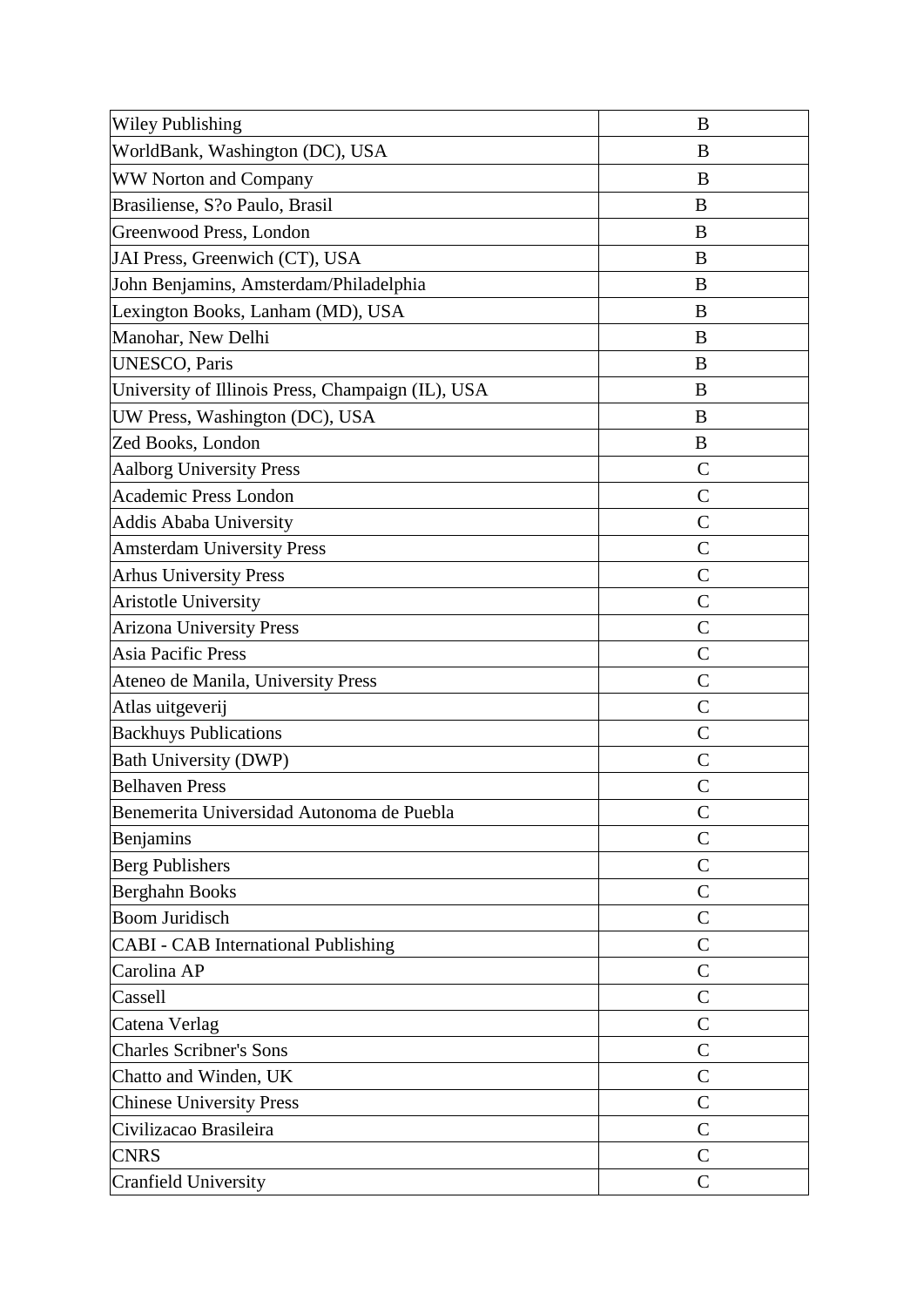| <b>Wiley Publishing</b>                           | B             |
|---------------------------------------------------|---------------|
| WorldBank, Washington (DC), USA                   | B             |
| WW Norton and Company                             | B             |
| Brasiliense, S?o Paulo, Brasil                    | B             |
| Greenwood Press, London                           | B             |
| JAI Press, Greenwich (CT), USA                    | B             |
| John Benjamins, Amsterdam/Philadelphia            | B             |
| Lexington Books, Lanham (MD), USA                 | B             |
| Manohar, New Delhi                                | B             |
| <b>UNESCO, Paris</b>                              | B             |
| University of Illinois Press, Champaign (IL), USA | B             |
| UW Press, Washington (DC), USA                    | B             |
| Zed Books, London                                 | B             |
| <b>Aalborg University Press</b>                   | $\mathsf{C}$  |
| <b>Academic Press London</b>                      | $\mathcal{C}$ |
| Addis Ababa University                            | $\mathcal{C}$ |
| <b>Amsterdam University Press</b>                 | $\mathcal{C}$ |
| <b>Arhus University Press</b>                     | $\mathcal{C}$ |
| Aristotle University                              | $\mathcal{C}$ |
| <b>Arizona University Press</b>                   | $\mathcal{C}$ |
| Asia Pacific Press                                | $\mathcal{C}$ |
| Ateneo de Manila, University Press                | $\mathcal{C}$ |
| Atlas uitgeverij                                  | $\mathbf C$   |
| <b>Backhuys Publications</b>                      | $\mathcal{C}$ |
| <b>Bath University (DWP)</b>                      | $\mathcal{C}$ |
| <b>Belhaven Press</b>                             | $\mathcal{C}$ |
| Benemerita Universidad Autonoma de Puebla         | $\mathcal{C}$ |
| Benjamins                                         | $\mathsf{C}$  |
| <b>Berg Publishers</b>                            | $\mathsf{C}$  |
| <b>Berghahn Books</b>                             | $\mathcal{C}$ |
| <b>Boom Juridisch</b>                             | $\mathcal{C}$ |
| <b>CABI</b> - CAB International Publishing        | $\mathbf C$   |
| Carolina AP                                       | $\mathcal{C}$ |
| Cassell                                           | $\mathsf{C}$  |
| Catena Verlag                                     | $\mathsf{C}$  |
| <b>Charles Scribner's Sons</b>                    | $\mathsf{C}$  |
| Chatto and Winden, UK                             | $\mathcal{C}$ |
| <b>Chinese University Press</b>                   | $\mathcal{C}$ |
| Civilizacao Brasileira                            | $\mathcal{C}$ |
| <b>CNRS</b>                                       | $\mathsf{C}$  |
| <b>Cranfield University</b>                       | $\mathsf{C}$  |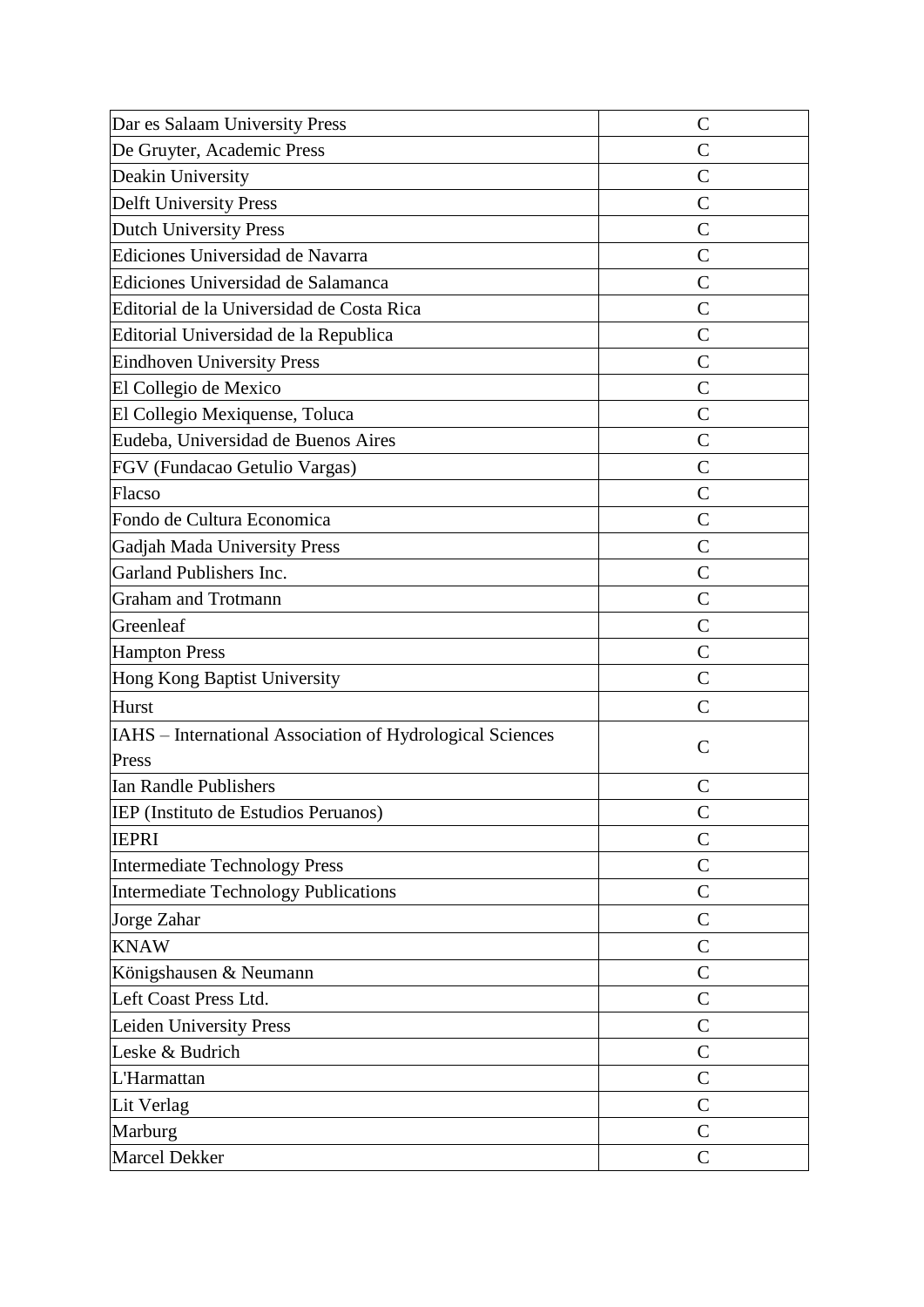| Dar es Salaam University Press                            | $\mathcal{C}$ |
|-----------------------------------------------------------|---------------|
| De Gruyter, Academic Press                                | $\mathsf{C}$  |
| Deakin University                                         | $\mathcal{C}$ |
| <b>Delft University Press</b>                             | $\mathcal{C}$ |
| <b>Dutch University Press</b>                             | $\mathcal{C}$ |
| Ediciones Universidad de Navarra                          | $\mathcal{C}$ |
| Ediciones Universidad de Salamanca                        | $\mathcal{C}$ |
| Editorial de la Universidad de Costa Rica                 | $\mathcal{C}$ |
| Editorial Universidad de la Republica                     | $\mathsf{C}$  |
| <b>Eindhoven University Press</b>                         | $\mathcal{C}$ |
| El Collegio de Mexico                                     | $\mathcal{C}$ |
| El Collegio Mexiquense, Toluca                            | $\mathcal{C}$ |
| Eudeba, Universidad de Buenos Aires                       | $\mathcal{C}$ |
| FGV (Fundacao Getulio Vargas)                             | $\mathcal{C}$ |
| Flacso                                                    | $\mathsf{C}$  |
| Fondo de Cultura Economica                                | $\mathcal{C}$ |
| Gadjah Mada University Press                              | $\mathcal{C}$ |
| Garland Publishers Inc.                                   | $\mathcal{C}$ |
| <b>Graham and Trotmann</b>                                | $\mathcal{C}$ |
| Greenleaf                                                 | $\mathsf{C}$  |
| <b>Hampton Press</b>                                      | $\mathsf{C}$  |
| Hong Kong Baptist University                              | $\mathsf{C}$  |
| Hurst                                                     | $\mathsf{C}$  |
| IAHS - International Association of Hydrological Sciences | $\mathcal{C}$ |
| Press                                                     |               |
| <b>Ian Randle Publishers</b>                              | $\mathsf{C}$  |
| IEP (Instituto de Estudios Peruanos)                      | $\mathsf{C}$  |
| <b>IEPRI</b>                                              | $\mathsf{C}$  |
| Intermediate Technology Press                             | $\mathsf{C}$  |
| <b>Intermediate Technology Publications</b>               | $\mathsf{C}$  |
| Jorge Zahar                                               | $\mathsf{C}$  |
| <b>KNAW</b>                                               | $\mathsf{C}$  |
| Königshausen & Neumann                                    | $\mathsf{C}$  |
| Left Coast Press Ltd.                                     | $\mathsf{C}$  |
| Leiden University Press                                   | $\mathsf{C}$  |
| Leske & Budrich                                           | $\mathsf{C}$  |
| L'Harmattan                                               | $\mathsf{C}$  |
| Lit Verlag                                                | $\mathbf C$   |
| Marburg                                                   | $\mathsf{C}$  |
| Marcel Dekker                                             | $\mathsf{C}$  |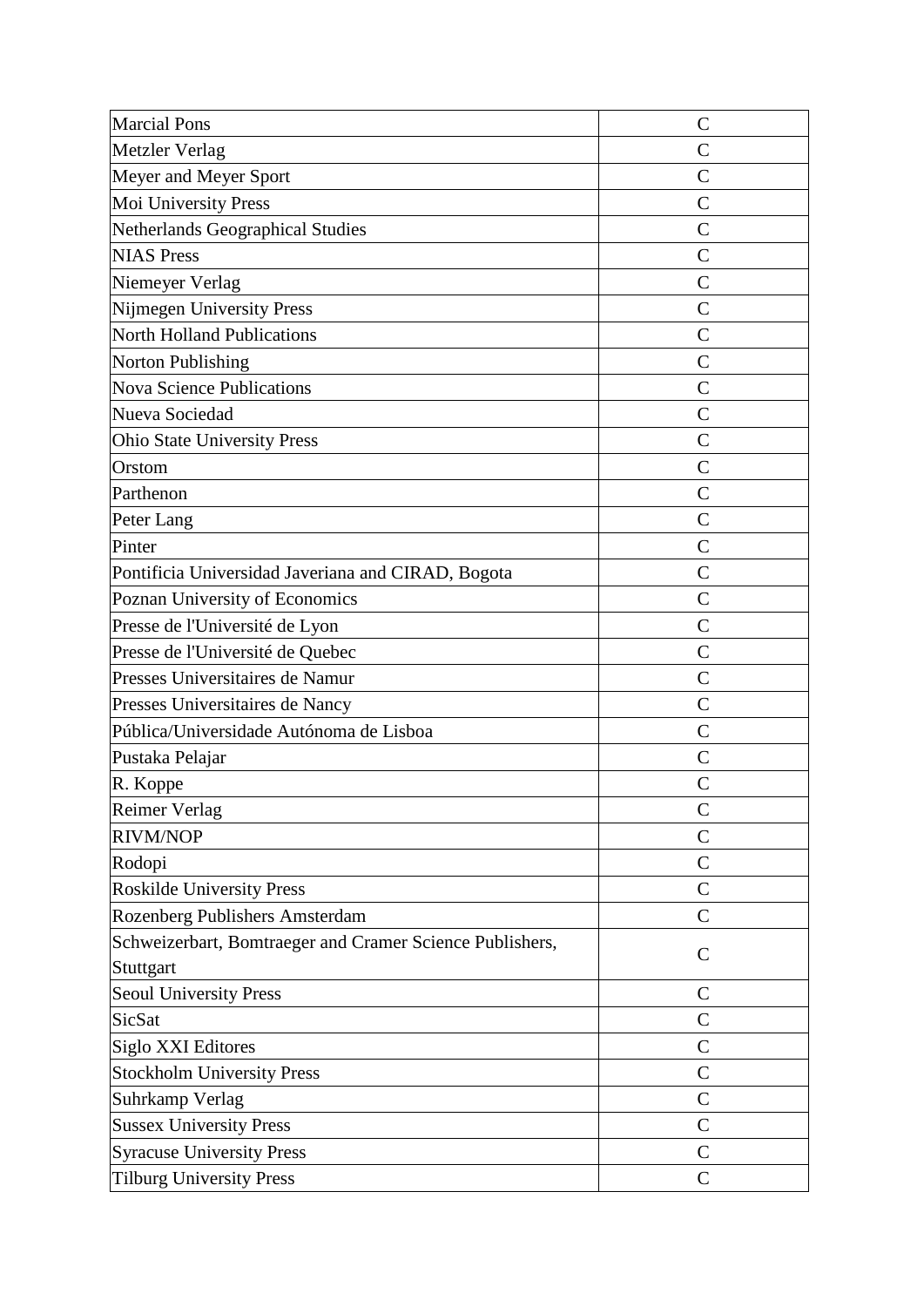| <b>Marcial Pons</b>                                      | $\mathcal{C}$  |
|----------------------------------------------------------|----------------|
| Metzler Verlag                                           | $\overline{C}$ |
| Meyer and Meyer Sport                                    | $\mathcal{C}$  |
| Moi University Press                                     | $\mathcal{C}$  |
| Netherlands Geographical Studies                         | $\overline{C}$ |
| <b>NIAS Press</b>                                        | $\mathcal{C}$  |
| Niemeyer Verlag                                          | $\mathcal{C}$  |
| Nijmegen University Press                                | $\overline{C}$ |
| <b>North Holland Publications</b>                        | $\mathcal{C}$  |
| <b>Norton Publishing</b>                                 | $\mathcal{C}$  |
| <b>Nova Science Publications</b>                         | $\overline{C}$ |
| Nueva Sociedad                                           | $\mathcal{C}$  |
| <b>Ohio State University Press</b>                       | $\overline{C}$ |
| Orstom                                                   | $\overline{C}$ |
| Parthenon                                                | $\mathcal{C}$  |
| Peter Lang                                               | $\mathcal{C}$  |
| Pinter                                                   | $\mathcal{C}$  |
| Pontificia Universidad Javeriana and CIRAD, Bogota       | $\mathcal{C}$  |
| Poznan University of Economics                           | $\mathcal{C}$  |
| Presse de l'Université de Lyon                           | $\overline{C}$ |
| Presse de l'Université de Quebec                         | $\mathcal{C}$  |
| Presses Universitaires de Namur                          | $\mathcal{C}$  |
| Presses Universitaires de Nancy                          | $\mathcal{C}$  |
| Pública/Universidade Autónoma de Lisboa                  | $\mathcal{C}$  |
| Pustaka Pelajar                                          | $\mathcal{C}$  |
| R. Koppe                                                 | $\mathcal{C}$  |
| Reimer Verlag                                            | $\mathsf{C}$   |
| <b>RIVM/NOP</b>                                          | $\mathsf{C}$   |
| Rodopi                                                   | $\mathsf{C}$   |
| <b>Roskilde University Press</b>                         | $\mathbf C$    |
| Rozenberg Publishers Amsterdam                           | $\mathbf C$    |
| Schweizerbart, Bomtraeger and Cramer Science Publishers, | $\mathsf{C}$   |
| Stuttgart                                                |                |
| <b>Seoul University Press</b>                            | $\mathsf{C}$   |
| <b>SicSat</b>                                            | $\mathcal{C}$  |
| <b>Siglo XXI Editores</b>                                | $\mathsf{C}$   |
| <b>Stockholm University Press</b>                        | $\mathbf C$    |
| Suhrkamp Verlag                                          | $\mathsf{C}$   |
| <b>Sussex University Press</b>                           | $\mathsf{C}$   |
| <b>Syracuse University Press</b>                         | $\mathcal{C}$  |
| <b>Tilburg University Press</b>                          | $\mathcal{C}$  |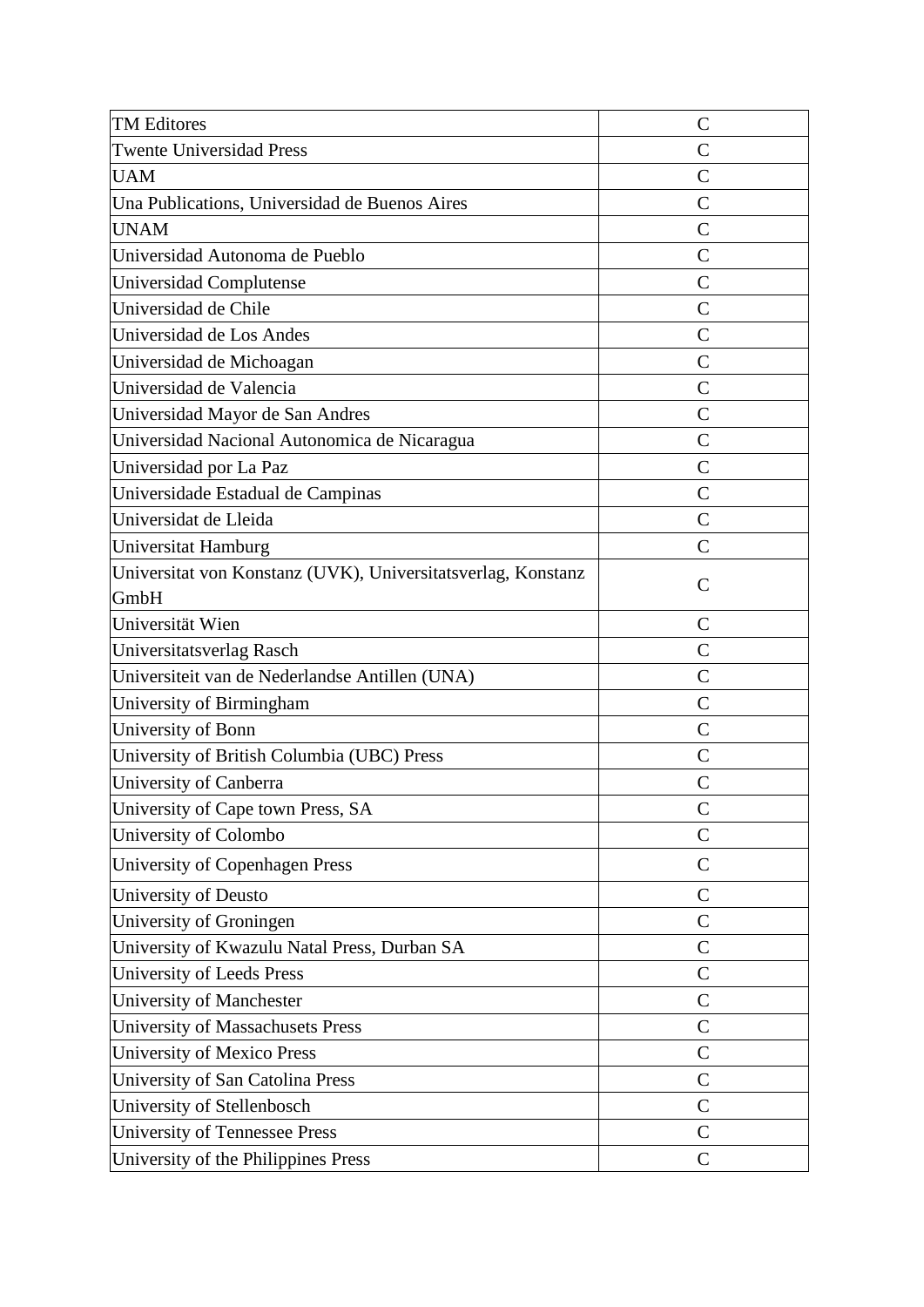| <b>TM Editores</b>                                           | $\mathsf C$    |
|--------------------------------------------------------------|----------------|
| <b>Twente Universidad Press</b>                              | $\overline{C}$ |
| <b>UAM</b>                                                   | $\mathcal{C}$  |
| Una Publications, Universidad de Buenos Aires                | $\mathsf{C}$   |
| <b>UNAM</b>                                                  | $\mathcal{C}$  |
| Universidad Autonoma de Pueblo                               | $\overline{C}$ |
| Universidad Complutense                                      | $\mathcal{C}$  |
| Universidad de Chile                                         | $\mathcal{C}$  |
| Universidad de Los Andes                                     | $\mathcal{C}$  |
| Universidad de Michoagan                                     | $\mathsf{C}$   |
| Universidad de Valencia                                      | $\mathcal{C}$  |
| Universidad Mayor de San Andres                              | $\mathcal{C}$  |
| Universidad Nacional Autonomica de Nicaragua                 | $\mathcal{C}$  |
| Universidad por La Paz                                       | $\mathcal{C}$  |
| Universidade Estadual de Campinas                            | $\mathcal{C}$  |
| Universidat de Lleida                                        | $\mathcal{C}$  |
| Universitat Hamburg                                          | $\mathcal{C}$  |
| Universitat von Konstanz (UVK), Universitatsverlag, Konstanz | $\mathcal{C}$  |
| GmbH                                                         |                |
| Universität Wien                                             | $\mathcal{C}$  |
| Universitatsverlag Rasch                                     | $\mathsf{C}$   |
| Universiteit van de Nederlandse Antillen (UNA)               | $\mathcal{C}$  |
| University of Birmingham                                     | $\overline{C}$ |
| University of Bonn                                           | $\mathsf{C}$   |
| University of British Columbia (UBC) Press                   | $\overline{C}$ |
| University of Canberra                                       | $\mathcal{C}$  |
| University of Cape town Press, SA                            | $\mathcal{C}$  |
| University of Colombo                                        | $\mathcal{C}$  |
| University of Copenhagen Press                               | $\mathsf{C}$   |
| University of Deusto                                         | $\mathbf C$    |
| University of Groningen                                      | $\mathsf{C}$   |
| University of Kwazulu Natal Press, Durban SA                 | $\mathsf{C}$   |
| <b>University of Leeds Press</b>                             | $\mathcal{C}$  |
| University of Manchester                                     | $\mathsf{C}$   |
| <b>University of Massachusets Press</b>                      | $\mathcal{C}$  |
| <b>University of Mexico Press</b>                            | $\mathcal{C}$  |
| University of San Catolina Press                             | $\mathsf{C}$   |
| University of Stellenbosch                                   | $\mathsf{C}$   |
| <b>University of Tennessee Press</b>                         | $\mathcal{C}$  |
| University of the Philippines Press                          | $\mathsf{C}$   |